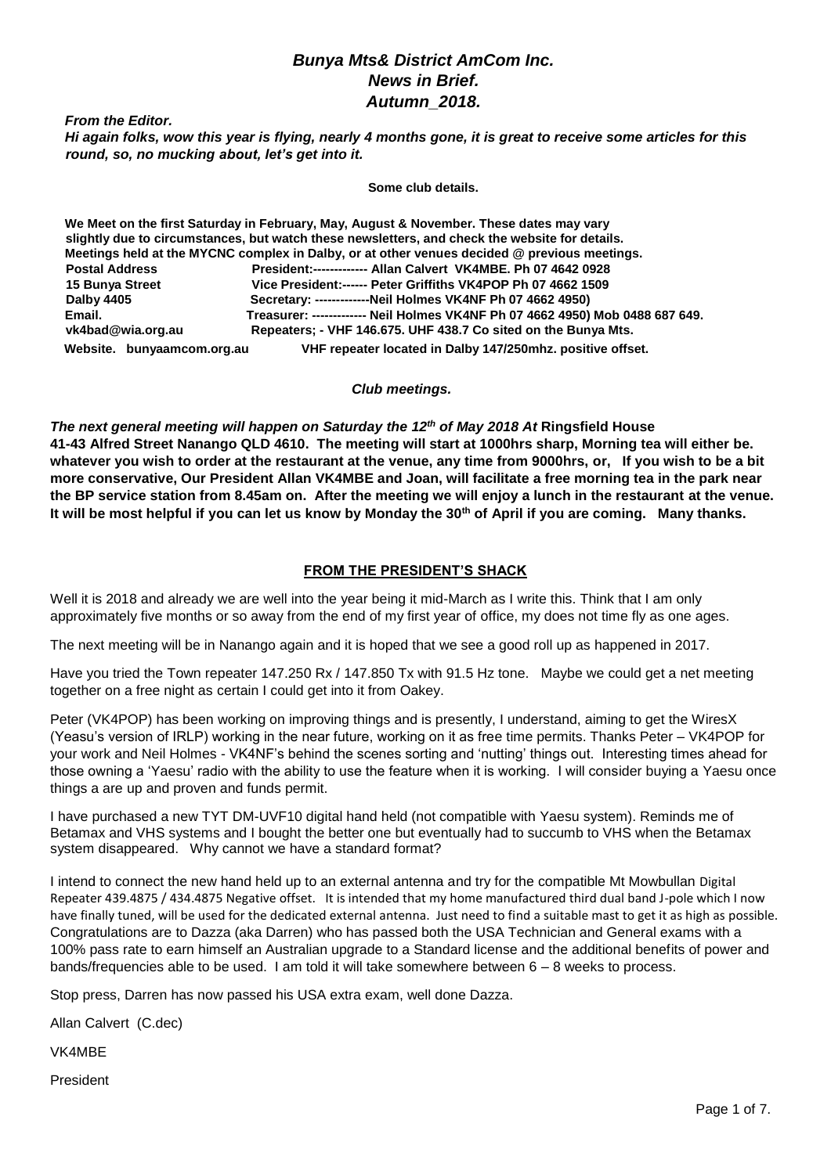#### *Bunya Mts& District AmCom Inc. News in Brief. Autumn\_2018.*

*From the Editor.* 

*Hi again folks, wow this year is flying, nearly 4 months gone, it is great to receive some articles for this round, so, no mucking about, let's get into it.*

**Some club details.**

**We Meet on the first Saturday in February, May, August & November. These dates may vary slightly due to circumstances, but watch these newsletters, and check the website for details. Meetings held at the MYCNC complex in Dalby, or at other venues decided @ previous meetings. Postal Address President:------------- Allan Calvert VK4MBE. Ph 07 4642 0928 15 Bunya Street Vice President:------ Peter Griffiths VK4POP Ph 07 4662 1509 Dalby 4405 Secretary: -------------Neil Holmes VK4NF Ph 07 4662 4950) Email. Treasurer: ------------- Neil Holmes VK4NF Ph 07 4662 4950) Mob 0488 687 649.** Repeaters; - VHF 146.675. UHF 438.7 Co sited on the Bunya Mts.  **Website. bunyaamcom.org.au VHF repeater located in Dalby 147/250mhz. positive offset.** 

#### *Club meetings.*

*The next general meeting will happen on Saturday the 12th of May 2018 At* **Ringsfield House 41-43 Alfred Street Nanango QLD 4610. The meeting will start at 1000hrs sharp, Morning tea will either be. whatever you wish to order at the restaurant at the venue, any time from 9000hrs, or, If you wish to be a bit more conservative, Our President Allan VK4MBE and Joan, will facilitate a free morning tea in the park near the BP service station from 8.45am on. After the meeting we will enjoy a lunch in the restaurant at the venue. It will be most helpful if you can let us know by Monday the 30th of April if you are coming. Many thanks.** 

#### **FROM THE PRESIDENT'S SHACK**

Well it is 2018 and already we are well into the year being it mid-March as I write this. Think that I am only approximately five months or so away from the end of my first year of office, my does not time fly as one ages.

The next meeting will be in Nanango again and it is hoped that we see a good roll up as happened in 2017.

Have you tried the Town repeater 147.250 Rx / 147.850 Tx with 91.5 Hz tone. Maybe we could get a net meeting together on a free night as certain I could get into it from Oakey.

Peter (VK4POP) has been working on improving things and is presently, I understand, aiming to get the WiresX (Yeasu's version of IRLP) working in the near future, working on it as free time permits. Thanks Peter – VK4POP for your work and Neil Holmes - VK4NF's behind the scenes sorting and 'nutting' things out. Interesting times ahead for those owning a 'Yaesu' radio with the ability to use the feature when it is working. I will consider buying a Yaesu once things a are up and proven and funds permit.

I have purchased a new TYT DM-UVF10 digital hand held (not compatible with Yaesu system). Reminds me of Betamax and VHS systems and I bought the better one but eventually had to succumb to VHS when the Betamax system disappeared. Why cannot we have a standard format?

I intend to connect the new hand held up to an external antenna and try for the compatible Mt Mowbullan Digital Repeater 439.4875 / 434.4875 Negative offset. It is intended that my home manufactured third dual band J-pole which I now have finally tuned, will be used for the dedicated external antenna. Just need to find a suitable mast to get it as high as possible. Congratulations are to Dazza (aka Darren) who has passed both the USA Technician and General exams with a 100% pass rate to earn himself an Australian upgrade to a Standard license and the additional benefits of power and bands/frequencies able to be used. I am told it will take somewhere between 6 – 8 weeks to process.

Stop press, Darren has now passed his USA extra exam, well done Dazza.

Allan Calvert (C.dec)

VK4MBE

President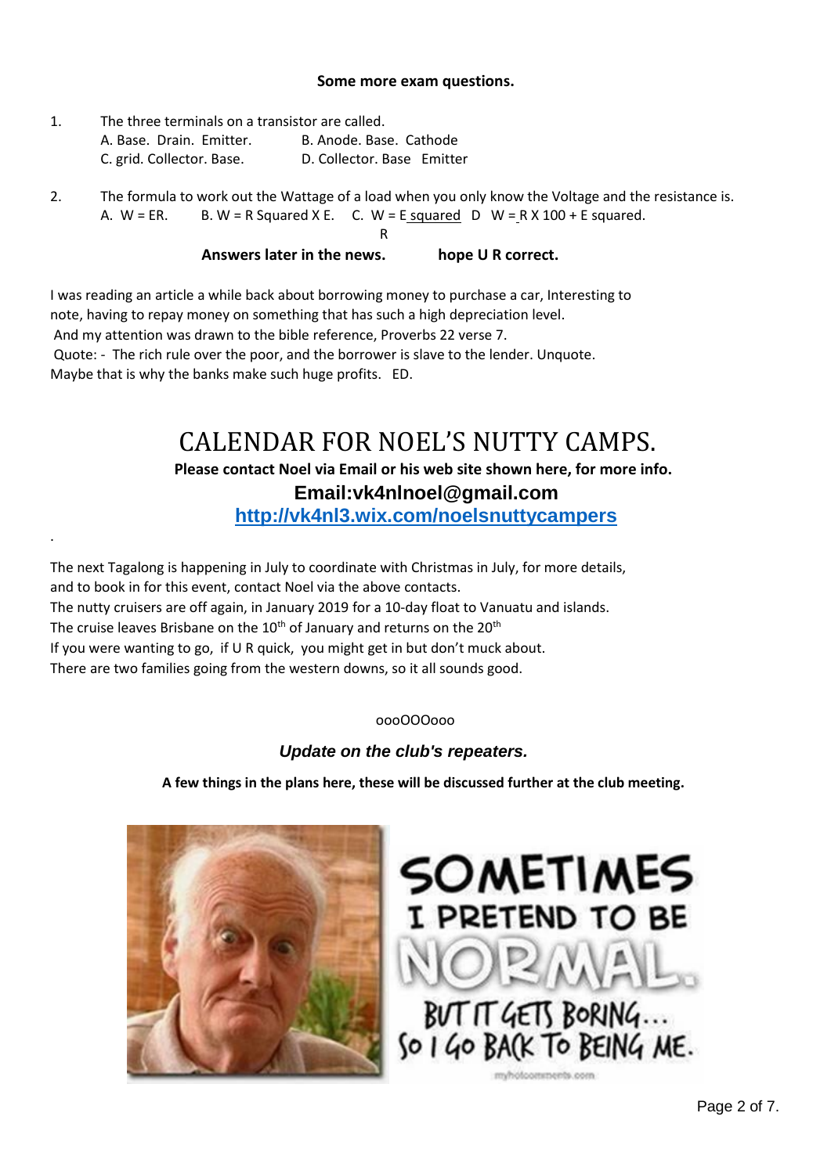#### **Some more exam questions.**

- 1. The three terminals on a transistor are called. A. Base. Drain. Emitter. B. Anode. Base. Cathode C. grid. Collector. Base. D. Collector. Base Emitter
- 2. The formula to work out the Wattage of a load when you only know the Voltage and the resistance is. A.  $W = ER.$  B.  $W = R$  Squared X E. C.  $W = E$  squared D  $W = R X 100 + E$  squared.

#### **R** R **Answers later in the news. hope U R correct.**

I was reading an article a while back about borrowing money to purchase a car, Interesting to note, having to repay money on something that has such a high depreciation level. And my attention was drawn to the bible reference, Proverbs 22 verse 7. Quote: - The rich rule over the poor, and the borrower is slave to the lender. Unquote. Maybe that is why the banks make such huge profits. ED.

# CALENDAR FOR NOEL'S NUTTY CAMPS.

# **Please contact Noel via Email or his web site shown here, for more info.**

# **Email:vk4nlnoel@gmail.com**

**<http://vk4nl3.wix.com/noelsnuttycampers>**

The next Tagalong is happening in July to coordinate with Christmas in July, for more details, and to book in for this event, contact Noel via the above contacts. The nutty cruisers are off again, in January 2019 for a 10-day float to Vanuatu and islands. The cruise leaves Brisbane on the 10<sup>th</sup> of January and returns on the 20<sup>th</sup> If you were wanting to go, if U R quick, you might get in but don't muck about. There are two families going from the western downs, so it all sounds good.

#### oooOOOooo

## *Update on the club's repeaters.*

**A few things in the plans here, these will be discussed further at the club meeting.**



.

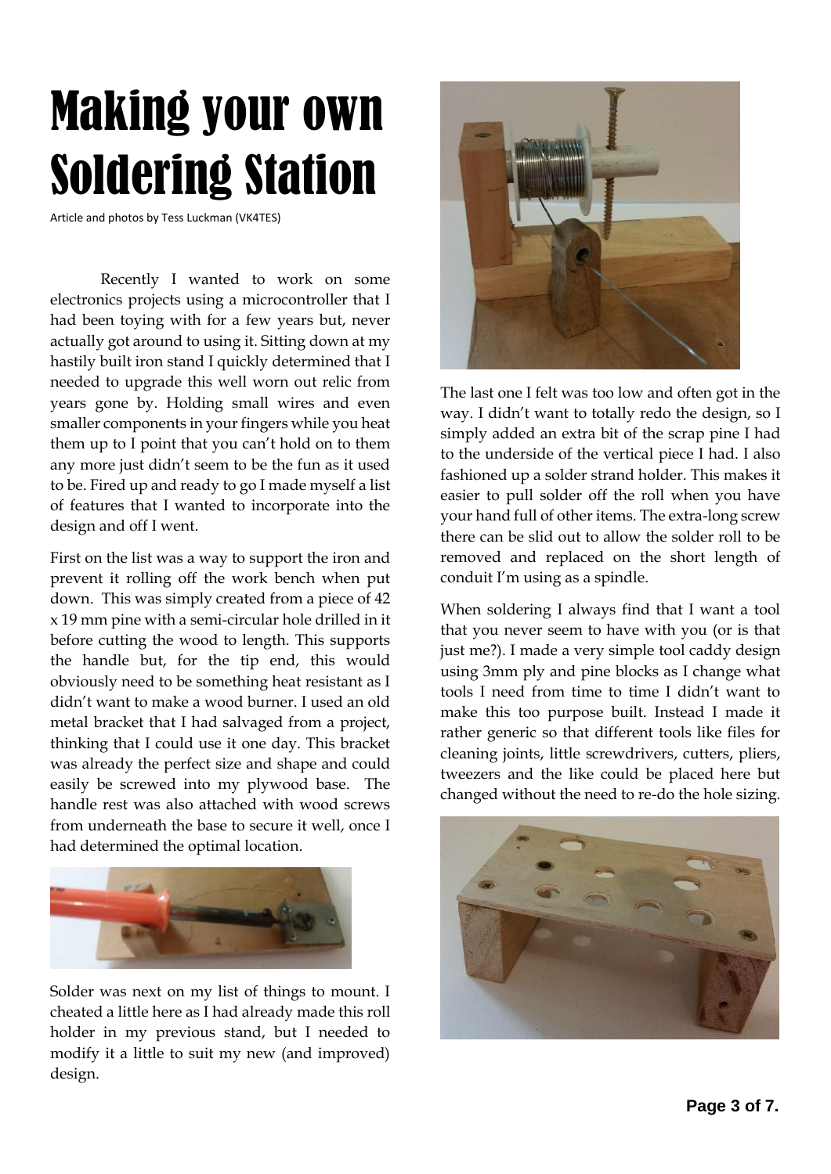# Making your own Soldering Station

Article and photos by Tess Luckman (VK4TES)

Recently I wanted to work on some electronics projects using a microcontroller that I had been toying with for a few years but, never actually got around to using it. Sitting down at my hastily built iron stand I quickly determined that I needed to upgrade this well worn out relic from years gone by. Holding small wires and even smaller components in your fingers while you heat them up to I point that you can't hold on to them any more just didn't seem to be the fun as it used to be. Fired up and ready to go I made myself a list of features that I wanted to incorporate into the design and off I went.

First on the list was a way to support the iron and prevent it rolling off the work bench when put down. This was simply created from a piece of 42 x 19 mm pine with a semi-circular hole drilled in it before cutting the wood to length. This supports the handle but, for the tip end, this would obviously need to be something heat resistant as I didn't want to make a wood burner. I used an old metal bracket that I had salvaged from a project, thinking that I could use it one day. This bracket was already the perfect size and shape and could easily be screwed into my plywood base. The handle rest was also attached with wood screws from underneath the base to secure it well, once I had determined the optimal location.



Solder was next on my list of things to mount. I cheated a little here as I had already made this roll holder in my previous stand, but I needed to modify it a little to suit my new (and improved) design.



The last one I felt was too low and often got in the way. I didn't want to totally redo the design, so I simply added an extra bit of the scrap pine I had to the underside of the vertical piece I had. I also fashioned up a solder strand holder. This makes it easier to pull solder off the roll when you have your hand full of other items. The extra-long screw there can be slid out to allow the solder roll to be removed and replaced on the short length of conduit I'm using as a spindle.

When soldering I always find that I want a tool that you never seem to have with you (or is that just me?). I made a very simple tool caddy design using 3mm ply and pine blocks as I change what tools I need from time to time I didn't want to make this too purpose built. Instead I made it rather generic so that different tools like files for cleaning joints, little screwdrivers, cutters, pliers, tweezers and the like could be placed here but changed without the need to re-do the hole sizing.

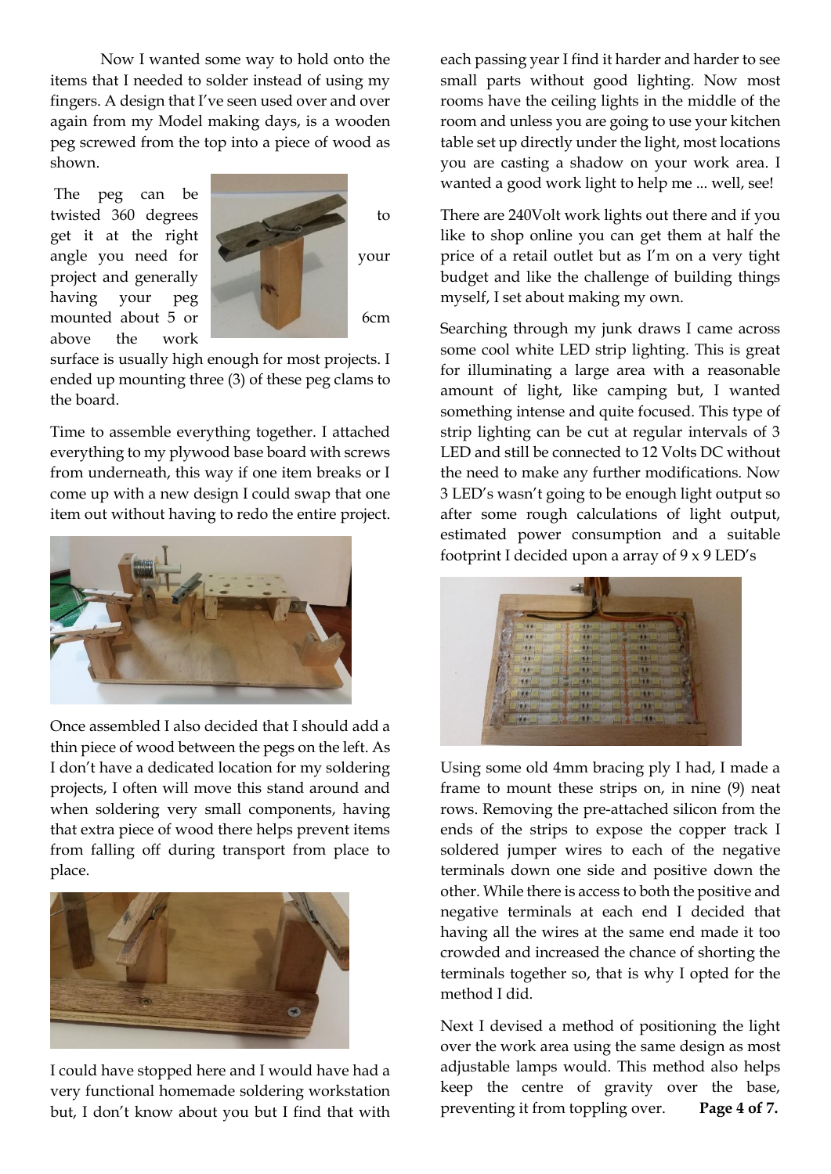Now I wanted some way to hold onto the items that I needed to solder instead of using my fingers. A design that I've seen used over and over again from my Model making days, is a wooden peg screwed from the top into a piece of wood as shown.

The peg can be get it at the right project and generally having your peg above the work



surface is usually high enough for most projects. I ended up mounting three (3) of these peg clams to the board.

Time to assemble everything together. I attached everything to my plywood base board with screws from underneath, this way if one item breaks or I come up with a new design I could swap that one item out without having to redo the entire project.



Once assembled I also decided that I should add a thin piece of wood between the pegs on the left. As I don't have a dedicated location for my soldering projects, I often will move this stand around and when soldering very small components, having that extra piece of wood there helps prevent items from falling off during transport from place to place.



I could have stopped here and I would have had a very functional homemade soldering workstation but, I don't know about you but I find that with

each passing year I find it harder and harder to see small parts without good lighting. Now most rooms have the ceiling lights in the middle of the room and unless you are going to use your kitchen table set up directly under the light, most locations you are casting a shadow on your work area. I wanted a good work light to help me ... well, see!

There are 240Volt work lights out there and if you like to shop online you can get them at half the price of a retail outlet but as I'm on a very tight budget and like the challenge of building things myself, I set about making my own.

Searching through my junk draws I came across some cool white LED strip lighting. This is great for illuminating a large area with a reasonable amount of light, like camping but, I wanted something intense and quite focused. This type of strip lighting can be cut at regular intervals of 3 LED and still be connected to 12 Volts DC without the need to make any further modifications. Now 3 LED's wasn't going to be enough light output so after some rough calculations of light output, estimated power consumption and a suitable footprint I decided upon a array of  $9 \times 9$  LED's



Using some old 4mm bracing ply I had, I made a frame to mount these strips on, in nine (9) neat rows. Removing the pre-attached silicon from the ends of the strips to expose the copper track I soldered jumper wires to each of the negative terminals down one side and positive down the other. While there is access to both the positive and negative terminals at each end I decided that having all the wires at the same end made it too crowded and increased the chance of shorting the terminals together so, that is why I opted for the method I did.

Next I devised a method of positioning the light over the work area using the same design as most adjustable lamps would. This method also helps keep the centre of gravity over the base, preventing it from toppling over. **Page 4 of 7.**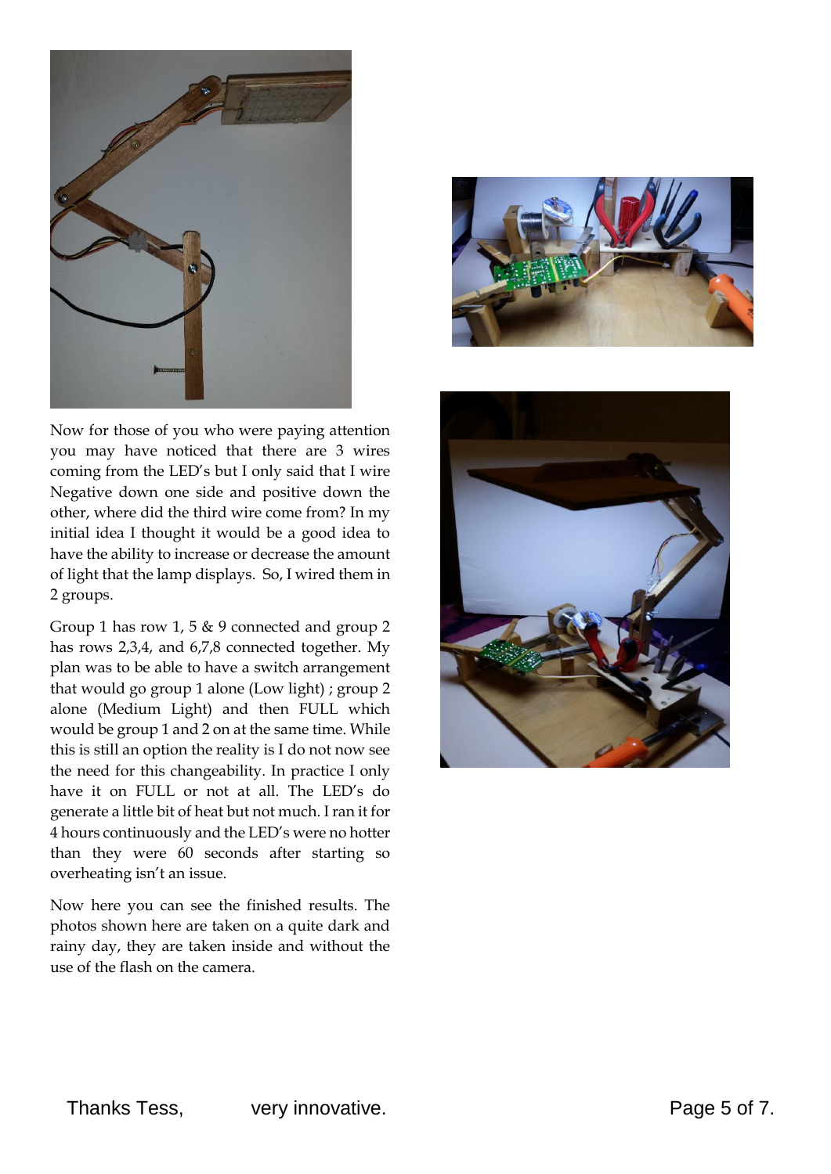

Now for those of you who were paying attention you may have noticed that there are 3 wires coming from the LED's but I only said that I wire Negative down one side and positive down the other, where did the third wire come from? In my initial idea I thought it would be a good idea to have the ability to increase or decrease the amount of light that the lamp displays. So, I wired them in 2 groups.

Group 1 has row 1, 5 & 9 connected and group 2 has rows 2,3,4, and 6,7,8 connected together. My plan was to be able to have a switch arrangement that would go group 1 alone (Low light) ; group 2 alone (Medium Light) and then FULL which would be group 1 and 2 on at the same time. While this is still an option the reality is I do not now see the need for this changeability. In practice I only have it on FULL or not at all. The LED's do generate a little bit of heat but not much. I ran it for 4 hours continuously and the LED's were no hotter than they were 60 seconds after starting so overheating isn't an issue.

Now here you can see the finished results. The photos shown here are taken on a quite dark and rainy day, they are taken inside and without the use of the flash on the camera.



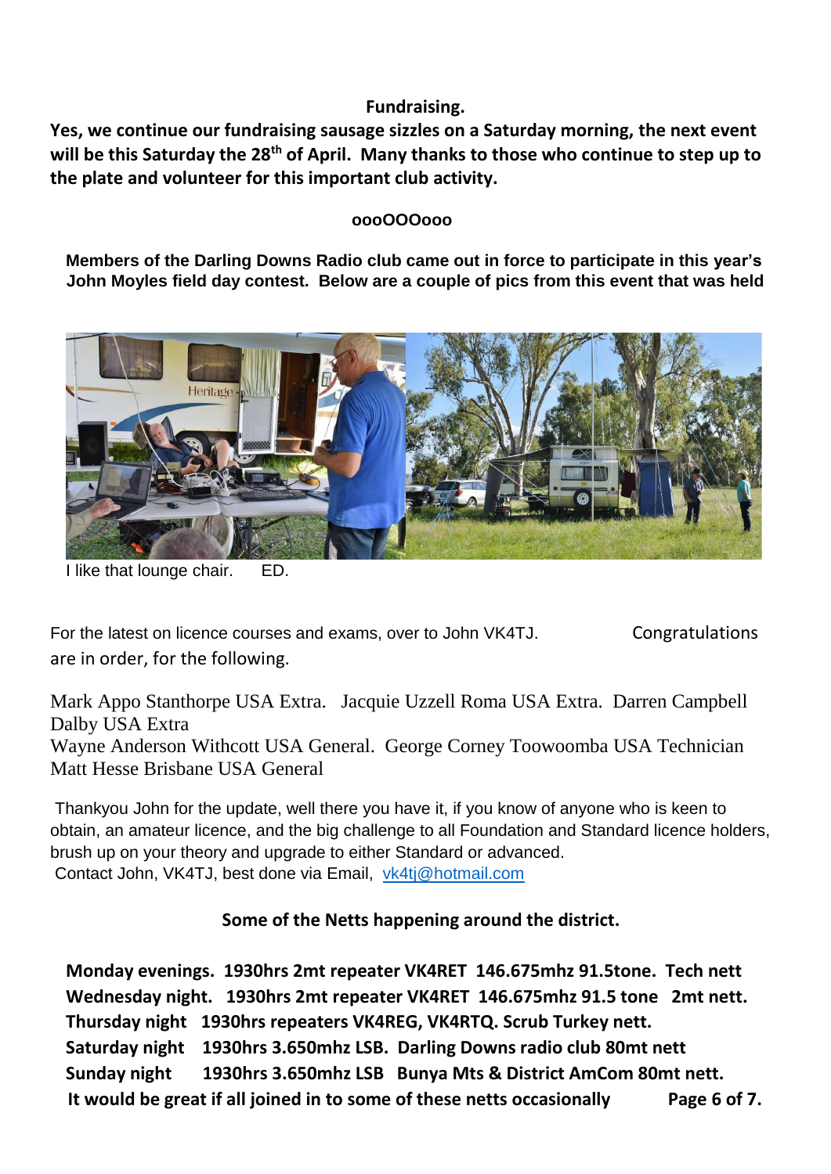# **Fundraising.**

**Yes, we continue our fundraising sausage sizzles on a Saturday morning, the next event will be this Saturday the 28th of April. Many thanks to those who continue to step up to the plate and volunteer for this important club activity.**

### **oooOOOooo**

**Members of the Darling Downs Radio club came out in force to participate in this year's John Moyles field day contest. Below are a couple of pics from this event that was held** 



I like that lounge chair. ED.

For the latest on licence courses and exams, over to John VK4TJ. Congratulations are in order, for the following.

Mark Appo Stanthorpe USA Extra. Jacquie Uzzell Roma USA Extra. Darren Campbell Dalby USA Extra

Wayne Anderson Withcott USA General. George Corney Toowoomba USA Technician Matt Hesse Brisbane USA General

Thankyou John for the update, well there you have it, if you know of anyone who is keen to obtain, an amateur licence, and the big challenge to all Foundation and Standard licence holders, brush up on your theory and upgrade to either Standard or advanced. Contact John, VK4TJ, best done via Email, [vk4tj@hotmail.com](mailto:vk4tj@hotmail.com) 

# **Some of the Netts happening around the district.**

**Monday evenings. 1930hrs 2mt repeater VK4RET 146.675mhz 91.5tone. Tech nett Wednesday night. 1930hrs 2mt repeater VK4RET 146.675mhz 91.5 tone 2mt nett. Thursday night 1930hrs repeaters VK4REG, VK4RTQ. Scrub Turkey nett. Saturday night 1930hrs 3.650mhz LSB. Darling Downs radio club 80mt nett Sunday night 1930hrs 3.650mhz LSB Bunya Mts & District AmCom 80mt nett. It would be great if all joined in to some of these netts occasionally Page 6 of 7.**